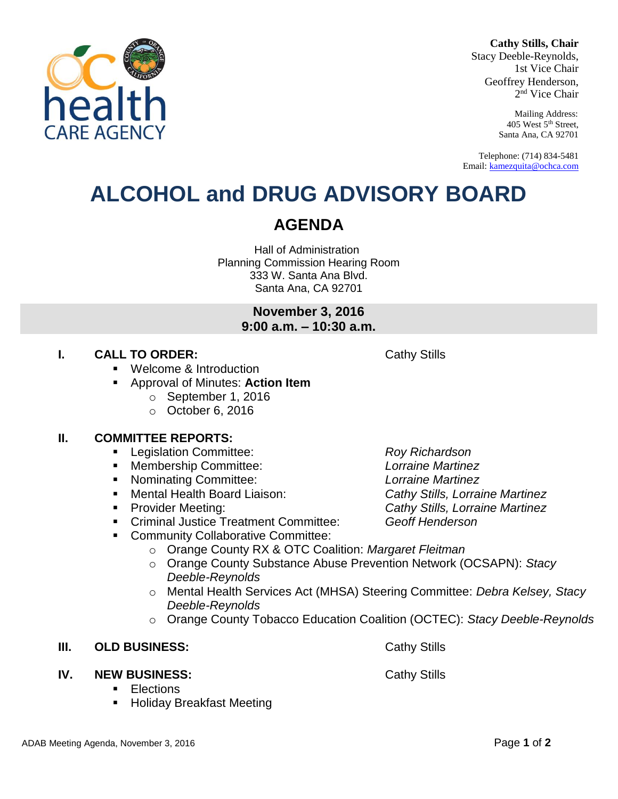#### **Cathy Stills, Chair**

Stacy Deeble-Reynolds, 1st Vice Chair Geoffrey Henderson, 2 nd Vice Chair

> Mailing Address: 405 West 5th Street, Santa Ana, CA 92701

Telephone: (714) 834-5481 Email: [kamezquita@ochca.com](mailto:kamezquita@ochca.com)

### **ALCOHOL and DRUG ADVISORY BOARD**

Hall of Administration Planning Commission Hearing Room 333 W. Santa Ana Blvd. Santa Ana, CA 92701

> **November 3, 2016 9:00 a.m. – 10:30 a.m.**

### **I. CALL TO ORDER:** Cathy Stills

- Welcome & Introduction
- Approval of Minutes: **Action Item**
	- o September 1, 2016
	- o October 6, 2016

### **II. COMMITTEE REPORTS:**

- Legislation Committee: *Roy Richardson*
- Membership Committee: *Lorraine Martinez*
- Nominating Committee: *Lorraine Martinez*
- Mental Health Board Liaison: *Cathy Stills, Lorraine Martinez*
- 
- Criminal Justice Treatment Committee: *Geoff Henderson*
- Community Collaborative Committee:
	- o Orange County RX & OTC Coalition: *Margaret Fleitman*
	- o Orange County Substance Abuse Prevention Network (OCSAPN): *Stacy Deeble-Reynolds*
	- o Mental Health Services Act (MHSA) Steering Committee: *Debra Kelsey, Stacy Deeble-Reynolds*
	- o Orange County Tobacco Education Coalition (OCTEC): *Stacy Deeble-Reynolds*

### **III. OLD BUSINESS:** Cathy Stills

### **IV. NEW BUSINESS:** Cathy Stills

- **Elections**
- Holiday Breakfast Meeting

ADAB Meeting Agenda, November 3, 2016 **Page 1** of 2

Provider Meeting: *Cathy Stills, Lorraine Martinez*

# **AGENDA**

healt **ARE AGENCY**